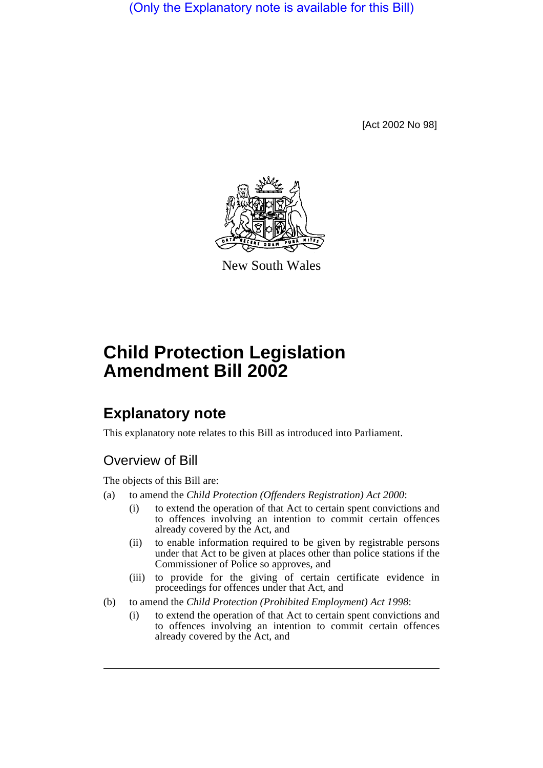(Only the Explanatory note is available for this Bill)

[Act 2002 No 98]



New South Wales

# **Child Protection Legislation Amendment Bill 2002**

# **Explanatory note**

This explanatory note relates to this Bill as introduced into Parliament.

## Overview of Bill

The objects of this Bill are:

- (a) to amend the *Child Protection (Offenders Registration) Act 2000*:
	- (i) to extend the operation of that Act to certain spent convictions and to offences involving an intention to commit certain offences already covered by the Act, and
	- (ii) to enable information required to be given by registrable persons under that Act to be given at places other than police stations if the Commissioner of Police so approves, and
	- (iii) to provide for the giving of certain certificate evidence in proceedings for offences under that Act, and
- (b) to amend the *Child Protection (Prohibited Employment) Act 1998*:
	- (i) to extend the operation of that Act to certain spent convictions and to offences involving an intention to commit certain offences already covered by the Act, and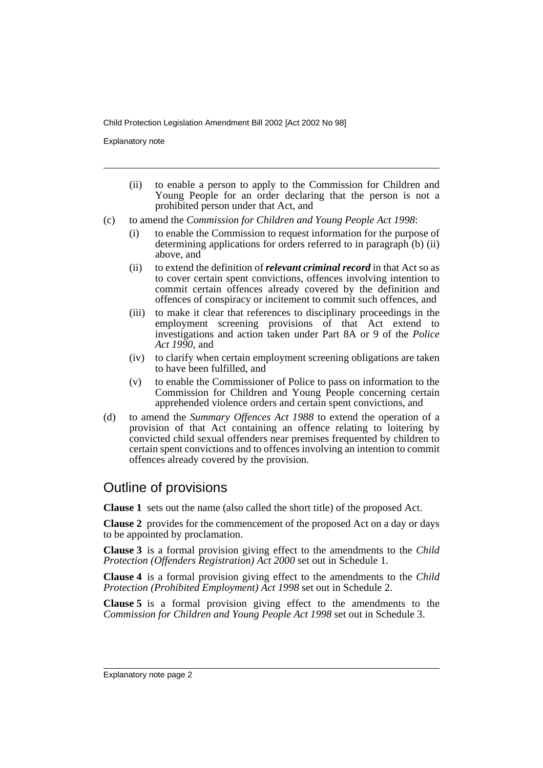Explanatory note

- (ii) to enable a person to apply to the Commission for Children and Young People for an order declaring that the person is not a prohibited person under that Act, and
- (c) to amend the *Commission for Children and Young People Act 1998*:
	- (i) to enable the Commission to request information for the purpose of determining applications for orders referred to in paragraph (b) (ii) above, and
	- (ii) to extend the definition of *relevant criminal record* in that Act so as to cover certain spent convictions, offences involving intention to commit certain offences already covered by the definition and offences of conspiracy or incitement to commit such offences, and
	- (iii) to make it clear that references to disciplinary proceedings in the employment screening provisions of that Act extend to investigations and action taken under Part 8A or 9 of the *Police Act 1990*, and
	- (iv) to clarify when certain employment screening obligations are taken to have been fulfilled, and
	- (v) to enable the Commissioner of Police to pass on information to the Commission for Children and Young People concerning certain apprehended violence orders and certain spent convictions, and
- (d) to amend the *Summary Offences Act 1988* to extend the operation of a provision of that Act containing an offence relating to loitering by convicted child sexual offenders near premises frequented by children to certain spent convictions and to offences involving an intention to commit offences already covered by the provision.

### Outline of provisions

**Clause 1** sets out the name (also called the short title) of the proposed Act.

**Clause 2** provides for the commencement of the proposed Act on a day or days to be appointed by proclamation.

**Clause 3** is a formal provision giving effect to the amendments to the *Child Protection (Offenders Registration) Act 2000* set out in Schedule 1.

**Clause 4** is a formal provision giving effect to the amendments to the *Child Protection (Prohibited Employment) Act 1998* set out in Schedule 2.

**Clause 5** is a formal provision giving effect to the amendments to the *Commission for Children and Young People Act 1998* set out in Schedule 3.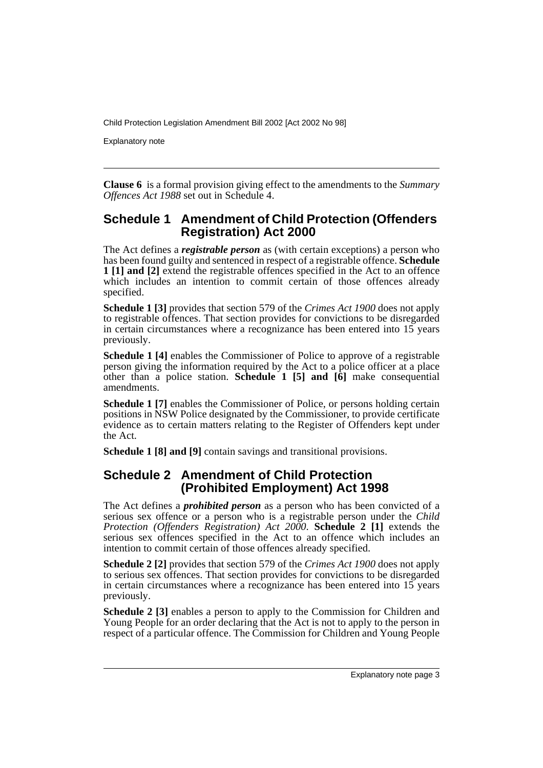Explanatory note

**Clause 6** is a formal provision giving effect to the amendments to the *Summary Offences Act 1988* set out in Schedule 4.

#### **Schedule 1 Amendment of Child Protection (Offenders Registration) Act 2000**

The Act defines a *registrable person* as (with certain exceptions) a person who has been found guilty and sentenced in respect of a registrable offence. **Schedule 1 [1] and [2]** extend the registrable offences specified in the Act to an offence which includes an intention to commit certain of those offences already specified.

**Schedule 1 [3]** provides that section 579 of the *Crimes Act 1900* does not apply to registrable offences. That section provides for convictions to be disregarded in certain circumstances where a recognizance has been entered into 15 years previously.

**Schedule 1 [4]** enables the Commissioner of Police to approve of a registrable person giving the information required by the Act to a police officer at a place other than a police station. **Schedule 1 [5] and [6]** make consequential amendments.

**Schedule 1 [7]** enables the Commissioner of Police, or persons holding certain positions in NSW Police designated by the Commissioner, to provide certificate evidence as to certain matters relating to the Register of Offenders kept under the Act.

**Schedule 1 [8] and [9]** contain savings and transitional provisions.

#### **Schedule 2 Amendment of Child Protection (Prohibited Employment) Act 1998**

The Act defines a *prohibited person* as a person who has been convicted of a serious sex offence or a person who is a registrable person under the *Child Protection (Offenders Registration) Act 2000*. **Schedule 2 [1]** extends the serious sex offences specified in the Act to an offence which includes an intention to commit certain of those offences already specified.

**Schedule 2 [2]** provides that section 579 of the *Crimes Act 1900* does not apply to serious sex offences. That section provides for convictions to be disregarded in certain circumstances where a recognizance has been entered into 15 years previously.

**Schedule 2 [3]** enables a person to apply to the Commission for Children and Young People for an order declaring that the Act is not to apply to the person in respect of a particular offence. The Commission for Children and Young People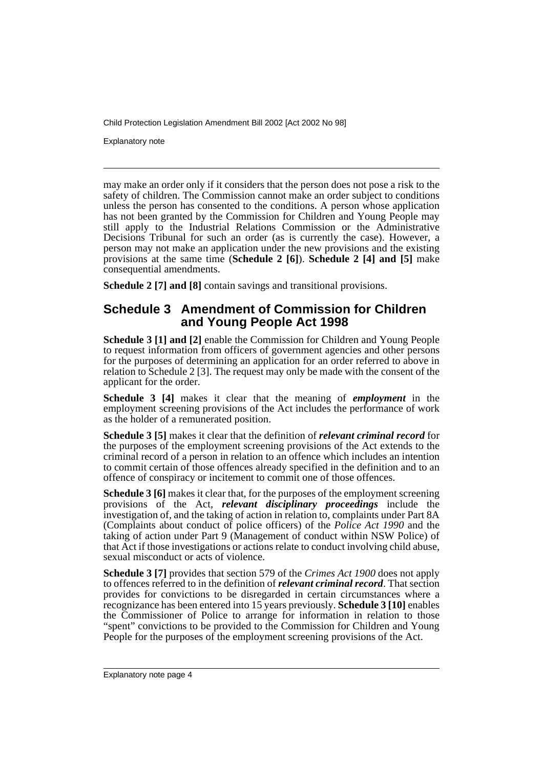Explanatory note

may make an order only if it considers that the person does not pose a risk to the safety of children. The Commission cannot make an order subject to conditions unless the person has consented to the conditions. A person whose application has not been granted by the Commission for Children and Young People may still apply to the Industrial Relations Commission or the Administrative Decisions Tribunal for such an order (as is currently the case). However, a person may not make an application under the new provisions and the existing provisions at the same time (**Schedule 2 [6]**). **Schedule 2 [4] and [5]** make consequential amendments.

**Schedule 2 [7] and [8]** contain savings and transitional provisions.

#### **Schedule 3 Amendment of Commission for Children and Young People Act 1998**

**Schedule 3 [1] and [2]** enable the Commission for Children and Young People to request information from officers of government agencies and other persons for the purposes of determining an application for an order referred to above in relation to Schedule 2 [3]. The request may only be made with the consent of the applicant for the order.

**Schedule 3 [4]** makes it clear that the meaning of *employment* in the employment screening provisions of the Act includes the performance of work as the holder of a remunerated position.

**Schedule 3 [5]** makes it clear that the definition of *relevant criminal record* for the purposes of the employment screening provisions of the Act extends to the criminal record of a person in relation to an offence which includes an intention to commit certain of those offences already specified in the definition and to an offence of conspiracy or incitement to commit one of those offences.

**Schedule 3 [6]** makes it clear that, for the purposes of the employment screening provisions of the Act, *relevant disciplinary proceedings* include the investigation of, and the taking of action in relation to, complaints under Part 8A (Complaints about conduct of police officers) of the *Police Act 1990* and the taking of action under Part 9 (Management of conduct within NSW Police) of that Act if those investigations or actions relate to conduct involving child abuse, sexual misconduct or acts of violence.

**Schedule 3 [7]** provides that section 579 of the *Crimes Act 1900* does not apply to offences referred to in the definition of *relevant criminal record*. That section provides for convictions to be disregarded in certain circumstances where a recognizance has been entered into 15 years previously. **Schedule 3 [10]** enables the Commissioner of Police to arrange for information in relation to those "spent" convictions to be provided to the Commission for Children and Young People for the purposes of the employment screening provisions of the Act.